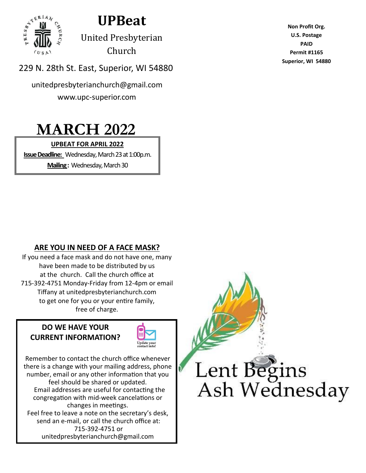

**UPBeat** 

United Presbyterian Church

229 N. 28th St. East, Superior, WI 54880

unitedpresbyterianchurch@gmail.com www.upc-superior.com

# **MARCH 2022**

### **UPBEAT FOR APRIL 2022**

**Issue Deadline:** Wednesday, March 23 at 1:00p.m.

**Mailing :** Wednesday, March 30

**Non Profit Org. U.S. Postage PAID Permit #1165 Superior, WI 54880**

### **ARE YOU IN NEED OF A FACE MASK?**

If you need a face mask and do not have one, many have been made to be distributed by us at the church. Call the church office at 715-392-4751 Monday-Friday from 12-4pm or email Tiffany at unitedpresbyterianchurch.com to get one for you or your entire family, free of charge.

### **DO WE HAVE YOUR CURRENT INFORMATION?**



Remember to contact the church office whenever there is a change with your mailing address, phone number, email or any other information that you feel should be shared or updated. Email addresses are useful for contacting the congregation with mid-week cancelations or changes in meetings. Feel free to leave a note on the secretary's desk, send an e-mail, or call the church office at: 715-392-4751 or unitedpresbyterianchurch@gmail.com

Lent Begins Ash Wednesday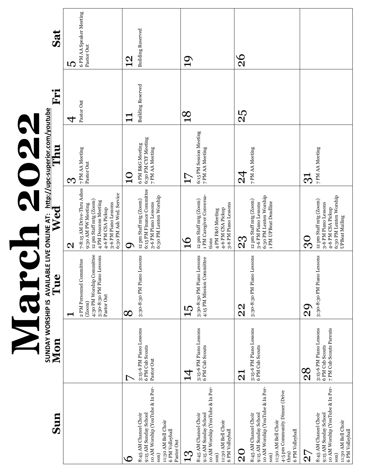|                                                                                                                                                                                            |                                                                       | $\overline{c}$<br>Mar                                                                                       | D 2                                                                                                                                                                         | N<br>220                                                   |                          |                                       |
|--------------------------------------------------------------------------------------------------------------------------------------------------------------------------------------------|-----------------------------------------------------------------------|-------------------------------------------------------------------------------------------------------------|-----------------------------------------------------------------------------------------------------------------------------------------------------------------------------|------------------------------------------------------------|--------------------------|---------------------------------------|
| Sun                                                                                                                                                                                        | Mon                                                                   | SUNDAY WORSHIP IS AVAILABLE LIVE ONLINE AT: http://upc-superior.com/youtube<br>Mon<br>Vical                 |                                                                                                                                                                             |                                                            | Fri                      | Sat                                   |
|                                                                                                                                                                                            |                                                                       | −                                                                                                           | $\mathbf{\Omega}$                                                                                                                                                           | <b>S</b>                                                   | 4                        | LC.                                   |
|                                                                                                                                                                                            |                                                                       | 4:30 PM Worship Committee<br>3:30-8:30 PM Piano Lessons<br>2 PM Personnel Committee<br>Pastor Out<br>(200m) | 7-8:15 AM Drive-Thru Ashes<br>6:30 PM Ash Wed. Service<br>12 pm Staff mtg (Zoom)<br>4 PM Deacons Meeting<br>3-6 PM Piano Lessons<br>9:30 AM PW Meeting<br>4-6 PM CSA Pickup | 7 PM AA Meeting<br>Pastor Out                              | Pastor Out               | 6 PM AA Speaker Meeting<br>Pastor Out |
| C                                                                                                                                                                                          |                                                                       | $\infty$                                                                                                    | σ                                                                                                                                                                           | C<br>$\bar{\mathbf{t}}$                                    | ┯<br>$\blacksquare$      | $\frac{2}{1}$                         |
| 10 AM Worship (YouTube & In Per-<br>8:45 AM Chancel Choir<br>9:15 AM Sunday School<br>11:30 AM Bell Choir<br>6 PM Volleyball<br>Pastor Out<br>son)                                         | 3:15-6 PM Piano Lessons<br>6 PM Cub Scouts<br>Pastor Out              | 3:30-8:30 PM Piano Lessons                                                                                  | 6:15 PM Finance Committee<br>6:30 PM Lenten Worship<br>12 pm Staff mtg (Zoom)<br>3-6 PM Piano Lessons                                                                       | 6:30 PM CYF Meeting<br>6 PM B&G Meeting<br>7 PM AA Meeting | <b>Building Reserved</b> | <b>Building Reserved</b>              |
| <u>က္</u>                                                                                                                                                                                  | $\vec{4}$                                                             |                                                                                                             | $\frac{1}{1}$                                                                                                                                                               | 17                                                         | $\frac{8}{10}$           | $\overline{0}$                        |
| 10 AM Worship (YouTube & In Per-<br>8:45 AM Chancel Choir<br>9:15 AM Sunday School<br>11:30 AM Bell Choir<br>6 PM Volleyball<br>son)                                                       | 3:15-6 PM Piano Lessons<br>6 PM Cub Scouts                            | 3:30-8:30 PM Piano Lessons<br>4:15 PM Mission Committee                                                     | 1 PM Caregiver Conversa-<br>12 pm Staff mtg (Zoom)<br>3-6 PM Piano Lessons<br>4-6 PM CSA Pickup<br>4 PM F&O Meeting<br>tions                                                | 6:15 PM Session Meeting<br>7 PM AA Meeting                 |                          |                                       |
| $\rm \Omega$                                                                                                                                                                               | $\overline{\mathbf{C}}$                                               | $\Omega$                                                                                                    | 23                                                                                                                                                                          | $\overline{2}$                                             | 25                       | $\frac{8}{2}$                         |
| 10 AM Worship (YouTube & In Per-<br>4-5 pm Community Dinner (Drive<br>8:45 AM Chancel Choir<br>9:15 AM Sunday School<br>11:30 AM Bell Choir<br>6 PM Volleyball<br>$_{\text{thru}}$<br>son) | 3:15-6 PM Piano Lessons<br>6 PM Cub Scouts                            | 3:30-8:30 PM Piano Lessons                                                                                  | 6:30 PM Lenten Worship<br>12 pm Staff mtg (Zoom)<br>1 PM UPBeat Deadline<br>3-6 PM Piano Lessons                                                                            | 7 PM AA Meeting                                            |                          |                                       |
| $\frac{5}{2}$                                                                                                                                                                              | 28                                                                    | 20                                                                                                          | <b>၁</b>                                                                                                                                                                    | <u>ನ</u>                                                   |                          |                                       |
| 10 AM Worship (YouTube & In Per-<br>9:15 AM Sunday School<br>8:45 AM Chancel Choir<br>11:30 AM Bell Choir<br>6 PM Volleyball<br>son)                                                       | 3:15-6 PM Piano Lessons<br>6 PM Cub Scouts<br>7 PM Cub Scouts Parents | Lessons<br>3:30-8:30 PM Piano                                                                               | 6:30 PM Lenten Worship<br>12 pm Staff mtg (Zoom)<br>3-6 PM Piano Lessons<br>4-6 PM CSA Pickup<br>UP Beat Mailing                                                            | 7 PM AA Meeting                                            |                          |                                       |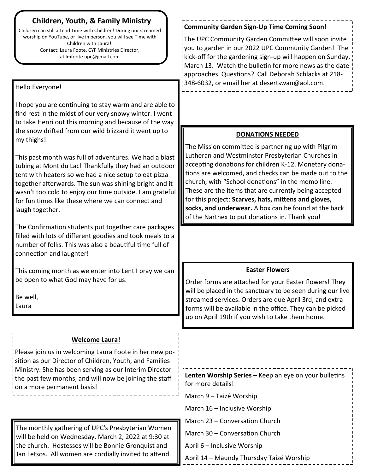### **Children, Youth, & Family Ministry**

Children can still attend Time with Children! During our streamed worship on YouTube, or live in person, you will see Time with Children with Laura! Contact: Laura Foote, CYF Ministries Director, at lmfoote.upc@gmail.com

the church. Hostesses will be Bonnie Gronquist and

#### Hello Everyone! I hope you are continuing to stay warm and are able to find rest in the midst of our very snowy winter. I went to take Henri out this morning and because of the way the snow drifted from our wild blizzard it went up to my thighs! This past month was full of adventures. We had a blast tubing at Mont du Lac! Thankfully they had an outdoor tent with heaters so we had a nice setup to eat pizza together afterwards. The sun was shining bright and it wasn't too cold to enjoy our time outside. I am grateful for fun times like these where we can connect and laugh together. The Confirmation students put together care packages filled with lots of different goodies and took meals to a number of folks. This was also a beautiful time full of connection and laughter! This coming month as we enter into Lent I pray we can be open to what God may have for us. Be well, Laura The monthly gathering of UPC's Presbyterian Women will be held on Wednesday, March 2, 2022 at 9:30 at 348-6032, or email her at desertswan@aol.com. **DONATIONS NEEDED** The Mission committee is partnering up with Pilgrim Lutheran and Westminster Presbyterian Churches in accepting donations for children K-12. Monetary donations are welcomed, and checks can be made out to the church, with "School donations" in the memo line. These are the items that are currently being accepted for this project: **Scarves, hats, mittens and gloves, socks, and underwear.** A box can be found at the back of the Narthex to put donations in. Thank you! **Welcome Laura!** Please join us in welcoming Laura Foote in her new position as our Director of Children, Youth, and Families Ministry. She has been serving as our Interim Director the past few months, and will now be joining the staff on a more permanent basis! **Easter Flowers** Order forms are attached for your Easter flowers! They will be placed in the sanctuary to be seen during our live streamed services. Orders are due April 3rd, and extra forms will be available in the office. They can be picked up on April 19th if you wish to take them home. **Lenten Worship Series** – Keep an eye on your bulletins for more details! March 9 – Taizé Worship March 16 – Inclusive Worship March 23 – Conversation Church March 30 – Conversation Church

Jan Letsos. All women are cordially invited to attend. April 14 – Maundy Thursday Taizé Worship

April 6 – Inclusive Worship

#### **Community Garden Sign-Up Time Coming Soon!**

The UPC Community Garden Committee will soon invite you to garden in our 2022 UPC Community Garden! The kick-off for the gardening sign-up will happen on Sunday, March 13. Watch the bulletin for more news as the date approaches. Questions? Call Deborah Schlacks at 218-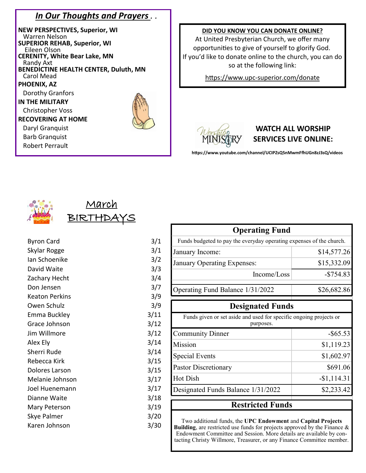### *In Our Thoughts and Prayers . .*

**NEW PERSPECTIVES, Superior, WI** Warren Nelson **SUPERIOR REHAB, Superior, WI** Eileen Olson **CERENITY, White Bear Lake, MN**  Randy Axt **BENEDICTINE HEALTH CENTER, Duluth, MN** Carol Mead **PHOENIX, AZ**  Dorothy Granfors **IN THE MILITARY** Christopher Voss **RECOVERING AT HOME** Daryl Granquist Barb Granquist Robert Perrault

#### **DID YOU KNOW YOU CAN DONATE ONLINE?**

At United Presbyterian Church, we offer many opportunities to give of yourself to glorify God. If you'd like to donate online to the church, you can do so at the following link:

https://www.upc-[superior.com/donate](https://www.upc-superior.com/donate)



### **WATCH ALL WORSHIP SERVICES LIVE ONLINE:**

**https://www.youtube.com/channel/UCIPZsQ5nMwmFfhUGn8zJ3sQ/videos**



## Marc BIR

| <b>Byron Card</b> | 3/1  |
|-------------------|------|
| Skylar Rogge      | 3/1  |
| Ian Schoenike     | 3/2  |
| David Waite       | 3/3  |
| Zachary Hecht     | 3/4  |
| Don Jensen        | 3/7  |
| Keaton Perkins    | 3/9  |
| Owen Schulz       | 3/9  |
| Emma Buckley      | 3/11 |
| Grace Johnson     | 3/12 |
| Jim Willmore      | 3/12 |
| Alex Ely          | 3/14 |
| Sherri Rude       | 3/14 |
| Rebecca Kirk      | 3/15 |
| Dolores Larson    | 3/15 |
| Melanie Johnson   | 3/17 |
| Joel Huenemann    | 3/17 |
| Dianne Waite      | 3/18 |
| Mary Peterson     | 3/19 |
| Skye Palmer       | 3/20 |
| Karen Johnson     | 3/30 |
|                   |      |

| <b>Operating Fund</b>                                                           |              |
|---------------------------------------------------------------------------------|--------------|
| Funds budgeted to pay the everyday operating expenses of the church.            |              |
| January Income:                                                                 | \$14,577.26  |
| January Operating Expenses:                                                     | \$15,332.09  |
| Income/Loss                                                                     | $-$ \$754.83 |
| Operating Fund Balance 1/31/2022                                                | \$26,682.86  |
| <b>Designated Funds</b>                                                         |              |
| Funds given or set aside and used for specific ongoing projects or<br>purposes. |              |
|                                                                                 |              |
| <b>Community Dinner</b>                                                         | $-$ \$65.53  |
| Mission                                                                         | \$1,119.23   |
| <b>Special Events</b>                                                           | \$1,602.97   |
| <b>Pastor Discretionary</b>                                                     | \$691.06     |
| <b>Hot Dish</b>                                                                 | $-$1,114.31$ |
| Designated Funds Balance 1/31/2022                                              | \$2,233.42   |

Two additional funds, the **UPC Endowment** and **Capital Projects Building**, are restricted use funds for projects approved by the Finance & Endowment Committee and Session. More details are available by contacting Christy Willmore, Treasurer, or any Finance Committee member.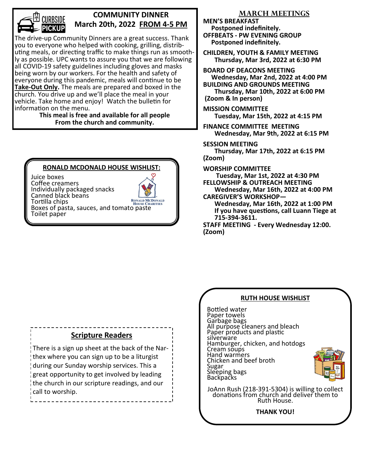

### **COMMUNITY DINNER March 20th, 2022 FROM 4-5 PM**

The drive-up Community Dinners are a great success. Thank you to everyone who helped with cooking, grilling, distributing meals, or directing traffic to make things run as smoothly as possible. UPC wants to assure you that we are following all COVID-19 safety guidelines including gloves and masks being worn by our workers. For the health and safety of everyone during this pandemic, meals will continue to be **Take-Out Only.** The meals are prepared and boxed in the church. You drive up and we'll place the meal in your vehicle. Take home and enjoy! Watch the bulletin for information on the menu.

#### **This meal is free and available for all people From the church and community.**

### **RONALD MCDONALD HOUSE WISHLIST:**

Juice boxes Coffee creamers Individually packaged snacks Canned black beans **RONALD MCDONALD** Tortilla chips **BOIG CHARITIES**<br>Boxes of pasta, sauces, and tomato paste Toilet paper



**MEN'S BREAKFAST Postponed indefinitely. OFFBEATS - PW EVENING GROUP Postponed indefinitely.** 

**CHILDREN, YOUTH & FAMILY MEETING Thursday, Mar 3rd, 2022 at 6:30 PM** 

**BOARD OF DEACONS MEETING Wednesday, Mar 2nd, 2022 at 4:00 PM BUILDING AND GROUNDS MEETING Thursday, Mar 10th, 2022 at 6:00 PM (Zoom & In person)**

**MISSION COMMITTEE Tuesday, Mar 15th, 2022 at 4:15 PM**

**FINANCE COMMITTEE MEETING Wednesday, Mar 9th, 2022 at 6:15 PM** 

**SESSION MEETING Thursday, Mar 17th, 2022 at 6:15 PM (Zoom)**

**WORSHIP COMMITTEE**

 **Tuesday, Mar 1st, 2022 at 4:30 PM FELLOWSHIP & OUTREACH MEETING**

 **Wednesday, Mar 16th, 2022 at 4:00 PM CAREGIVER'S WORKSHOP—**

 **Wednesday, Mar 16th, 2022 at 1:00 PM If you have questions, call Luann Tiege at 715-394-3611.**

**STAFF MEETING - Every Wednesday 12:00. (Zoom)**

### **Scripture Readers**

There is a sign up sheet at the back of the Narthex where you can sign up to be a liturgist during our Sunday worship services. This a great opportunity to get involved by leading the church in our scripture readings, and our call to worship.



**THANK YOU!**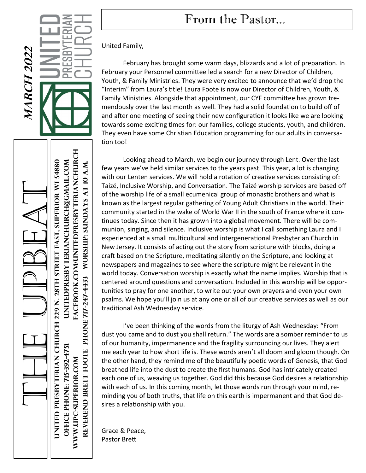# From the Pastor...

**MARCH 2022 MARCH 2022** ē

> A CEBOOK.COM/UNITEDPRESBYTERIANCHURCH **Www.upc-superior.com facebook.com/unitedpresbyterianchurch oFFICE Phone: 715-392-4751 unitedpresbyterianchurch@gmail.com**  The UPBeat **United Presbyterian church 229 N. 28th Street east, Superior WI 54880 REVEREND bRETT Foote phone 717-247-4433 Worship: Sundays at 10 a.m.** WORSHIP: SUNDAYS AT 10 A.M. PHONE 717-247-4433 REVEREND BRETT FOOTE WWW.UPC-SUPERIOR.COM

United Family,

February has brought some warm days, blizzards and a lot of preparation. In February your Personnel committee led a search for a new Director of Children, Youth, & Family Ministries. They were very excited to announce that we'd drop the "Interim" from Laura's title! Laura Foote is now our Director of Children, Youth, & Family Ministries. Alongside that appointment, our CYF committee has grown tremendously over the last month as well. They had a solid foundation to build off of and after one meeting of seeing their new configuration it looks like we are looking towards some exciting times for: our families, college students, youth, and children. They even have some Christian Education programming for our adults in conversation too!

Looking ahead to March, we begin our journey through Lent. Over the last few years we've held similar services to the years past. This year, a lot is changing with our Lenten services. We will hold a rotation of creative services consisting of: Taizé, Inclusive Worship, and Conversation. The Taizé worship services are based off of the worship life of a small ecumenical group of monastic brothers and what is known as the largest regular gathering of Young Adult Christians in the world. Their community started in the wake of World War II in the south of France where it continues today. Since then it has grown into a global movement. There will be communion, singing, and silence. Inclusive worship is what I call something Laura and I experienced at a small multicultural and intergenerational Presbyterian Church in New Jersey. It consists of acting out the story from scripture with blocks, doing a craft based on the Scripture, meditating silently on the Scripture, and looking at newspapers and magazines to see where the scripture might be relevant in the world today. Conversation worship is exactly what the name implies. Worship that is centered around questions and conversation. Included in this worship will be opportunities to pray for one another, to write out your own prayers and even your own psalms. We hope you'll join us at any one or all of our creative services as well as our traditional Ash Wednesday service.

I've been thinking of the words from the liturgy of Ash Wednesday: "From dust you came and to dust you shall return." The words are a somber reminder to us of our humanity, impermanence and the fragility surrounding our lives. They alert me each year to how short life is. These words aren't all doom and gloom though. On the other hand, they remind me of the beautifully poetic words of Genesis, that God breathed life into the dust to create the first humans. God has intricately created each one of us, weaving us together. God did this because God desires a relationship with each of us. In this coming month, let those words run through your mind, reminding you of both truths, that life on this earth is impermanent and that God desires a relationship with you.

Grace & Peace, Pastor Brett